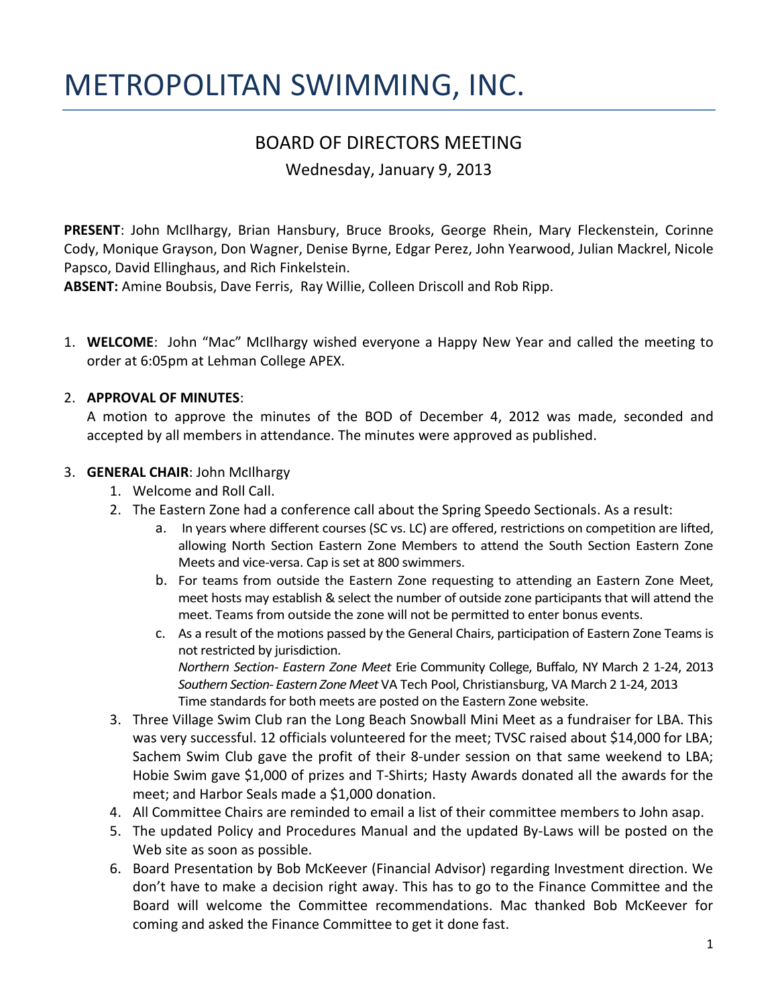# METROPOLITAN SWIMMING, INC.

# BOARD OF DIRECTORS MEETING

Wednesday, January 9, 2013

**PRESENT**: John McIlhargy, Brian Hansbury, Bruce Brooks, George Rhein, Mary Fleckenstein, Corinne Cody, Monique Grayson, Don Wagner, Denise Byrne, Edgar Perez, John Yearwood, Julian Mackrel, Nicole Papsco, David Ellinghaus, and Rich Finkelstein.

**ABSENT:** Amine Boubsis, Dave Ferris, Ray Willie, Colleen Driscoll and Rob Ripp.

1. **WELCOME**: John "Mac" McIlhargy wished everyone a Happy New Year and called the meeting to order at 6:05pm at Lehman College APEX.

# 2. **APPROVAL OF MINUTES**:

A motion to approve the minutes of the BOD of December 4, 2012 was made, seconded and accepted by all members in attendance. The minutes were approved as published.

#### 3. **GENERAL CHAIR**: John McIlhargy

- 1. Welcome and Roll Call.
- 2. The Eastern Zone had a conference call about the Spring Speedo Sectionals. As a result:
	- a. In years where different courses (SC vs. LC) are offered, restrictions on competition are lifted, allowing North Section Eastern Zone Members to attend the South Section Eastern Zone Meets and vice-versa. Cap is set at 800 swimmers.
	- b. For teams from outside the Eastern Zone requesting to attending an Eastern Zone Meet, meet hosts may establish & select the number of outside zone participants that will attend the meet. Teams from outside the zone will not be permitted to enter bonus events.
	- c. As a result of the motions passed by the General Chairs, participation of Eastern Zone Teams is not restricted by jurisdiction. *Northern Section- Eastern Zone Meet* Erie Community College, Buffalo, NY March 2 1-24, 2013 *Southern Section- Eastern Zone Meet* VA Tech Pool, Christiansburg, VA March 2 1-24, 2013 Time standards for both meets are posted on the Eastern Zone website.
- 3. Three Village Swim Club ran the Long Beach Snowball Mini Meet as a fundraiser for LBA. This was very successful. 12 officials volunteered for the meet; TVSC raised about \$14,000 for LBA; Sachem Swim Club gave the profit of their 8-under session on that same weekend to LBA; Hobie Swim gave \$1,000 of prizes and T-Shirts; Hasty Awards donated all the awards for the meet; and Harbor Seals made a \$1,000 donation.
- 4. All Committee Chairs are reminded to email a list of their committee members to John asap.
- 5. The updated Policy and Procedures Manual and the updated By-Laws will be posted on the Web site as soon as possible.
- 6. Board Presentation by Bob McKeever (Financial Advisor) regarding Investment direction. We don't have to make a decision right away. This has to go to the Finance Committee and the Board will welcome the Committee recommendations. Mac thanked Bob McKeever for coming and asked the Finance Committee to get it done fast.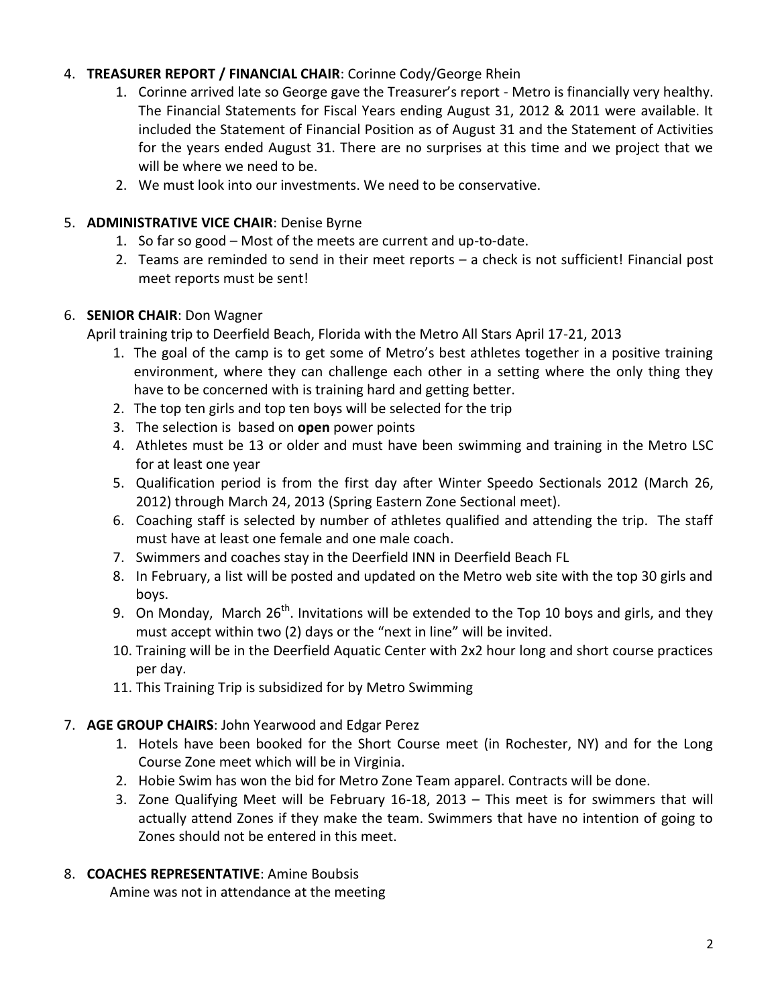# 4. **TREASURER REPORT / FINANCIAL CHAIR**: Corinne Cody/George Rhein

- 1. Corinne arrived late so George gave the Treasurer's report Metro is financially very healthy. The Financial Statements for Fiscal Years ending August 31, 2012 & 2011 were available. It included the Statement of Financial Position as of August 31 and the Statement of Activities for the years ended August 31. There are no surprises at this time and we project that we will be where we need to be.
- 2. We must look into our investments. We need to be conservative.

# 5. **ADMINISTRATIVE VICE CHAIR**: Denise Byrne

- 1. So far so good Most of the meets are current and up-to-date.
- 2. Teams are reminded to send in their meet reports a check is not sufficient! Financial post meet reports must be sent!

# 6. **SENIOR CHAIR**: Don Wagner

April training trip to Deerfield Beach, Florida with the Metro All Stars April 17-21, 2013

- 1. The goal of the camp is to get some of Metro's best athletes together in a positive training environment, where they can challenge each other in a setting where the only thing they have to be concerned with is training hard and getting better.
- 2. The top ten girls and top ten boys will be selected for the trip
- 3. The selection is based on **open** power points
- 4. Athletes must be 13 or older and must have been swimming and training in the Metro LSC for at least one year
- 5. Qualification period is from the first day after Winter Speedo Sectionals 2012 (March 26, 2012) through March 24, 2013 (Spring Eastern Zone Sectional meet).
- 6. Coaching staff is selected by number of athletes qualified and attending the trip. The staff must have at least one female and one male coach.
- 7. Swimmers and coaches stay in the Deerfield INN in Deerfield Beach FL
- 8. In February, a list will be posted and updated on the Metro web site with the top 30 girls and boys.
- 9. On Monday, March  $26^{th}$ . Invitations will be extended to the Top 10 boys and girls, and they must accept within two (2) days or the "next in line" will be invited.
- 10. Training will be in the Deerfield Aquatic Center with 2x2 hour long and short course practices per day.
- 11. This Training Trip is subsidized for by Metro Swimming

# 7. **AGE GROUP CHAIRS**: John Yearwood and Edgar Perez

- 1. Hotels have been booked for the Short Course meet (in Rochester, NY) and for the Long Course Zone meet which will be in Virginia.
- 2. Hobie Swim has won the bid for Metro Zone Team apparel. Contracts will be done.
- 3. Zone Qualifying Meet will be February 16-18, 2013 This meet is for swimmers that will actually attend Zones if they make the team. Swimmers that have no intention of going to Zones should not be entered in this meet.

# 8. **COACHES REPRESENTATIVE**: Amine Boubsis

Amine was not in attendance at the meeting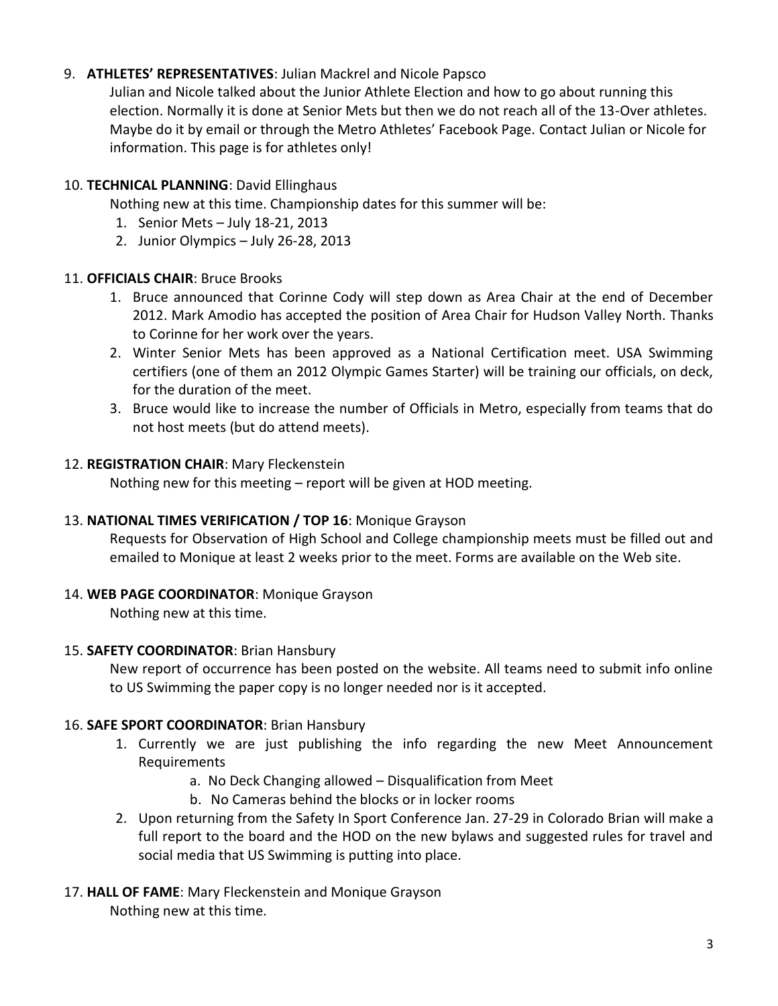# 9. **ATHLETES' REPRESENTATIVES**: Julian Mackrel and Nicole Papsco

Julian and Nicole talked about the Junior Athlete Election and how to go about running this election. Normally it is done at Senior Mets but then we do not reach all of the 13-Over athletes. Maybe do it by email or through the Metro Athletes' Facebook Page. Contact Julian or Nicole for information. This page is for athletes only!

# 10. **TECHNICAL PLANNING**: David Ellinghaus

Nothing new at this time. Championship dates for this summer will be:

- 1. Senior Mets July 18-21, 2013
- 2. Junior Olympics July 26-28, 2013

#### 11. **OFFICIALS CHAIR**: Bruce Brooks

- 1. Bruce announced that Corinne Cody will step down as Area Chair at the end of December 2012. Mark Amodio has accepted the position of Area Chair for Hudson Valley North. Thanks to Corinne for her work over the years.
- 2. Winter Senior Mets has been approved as a National Certification meet. USA Swimming certifiers (one of them an 2012 Olympic Games Starter) will be training our officials, on deck, for the duration of the meet.
- 3. Bruce would like to increase the number of Officials in Metro, especially from teams that do not host meets (but do attend meets).

#### 12. **REGISTRATION CHAIR**: Mary Fleckenstein

Nothing new for this meeting – report will be given at HOD meeting.

# 13. **NATIONAL TIMES VERIFICATION / TOP 16**: Monique Grayson

Requests for Observation of High School and College championship meets must be filled out and emailed to Monique at least 2 weeks prior to the meet. Forms are available on the Web site.

#### 14. **WEB PAGE COORDINATOR**: Monique Grayson

Nothing new at this time.

#### 15. **SAFETY COORDINATOR**: Brian Hansbury

New report of occurrence has been posted on the website. All teams need to submit info online to US Swimming the paper copy is no longer needed nor is it accepted.

# 16. **SAFE SPORT COORDINATOR**: Brian Hansbury

- 1. Currently we are just publishing the info regarding the new Meet Announcement Requirements
	- a. No Deck Changing allowed Disqualification from Meet
	- b. No Cameras behind the blocks or in locker rooms
- 2. Upon returning from the Safety In Sport Conference Jan. 27-29 in Colorado Brian will make a full report to the board and the HOD on the new bylaws and suggested rules for travel and social media that US Swimming is putting into place.

#### 17. **HALL OF FAME**: Mary Fleckenstein and Monique Grayson Nothing new at this time.